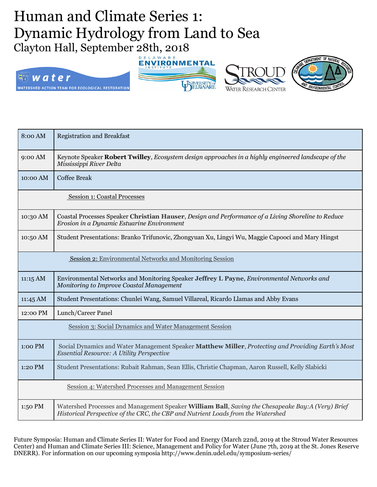## Human and Climate Series 1: Dynamic Hydrology from Land to Sea Clayton Hall, September 28th, 2018









| 8:00 AM                                                  | <b>Registration and Breakfast</b>                                                                                                                                                     |
|----------------------------------------------------------|---------------------------------------------------------------------------------------------------------------------------------------------------------------------------------------|
| 9:00 AM                                                  | Keynote Speaker Robert Twilley, Ecosystem design approaches in a highly engineered landscape of the<br>Mississippi River Delta                                                        |
| 10:00 AM                                                 | <b>Coffee Break</b>                                                                                                                                                                   |
| <b>Session 1: Coastal Processes</b>                      |                                                                                                                                                                                       |
| 10:30 AM                                                 | Coastal Processes Speaker Christian Hauser, Design and Performance of a Living Shoreline to Reduce<br>Erosion in a Dynamic Estuarine Environment                                      |
| 10:50 AM                                                 | Student Presentations: Branko Trifunovic, Zhongyuan Xu, Lingyi Wu, Maggie Capooci and Mary Hingst                                                                                     |
| Session 2: Environmental Networks and Monitoring Session |                                                                                                                                                                                       |
| $11:15 \text{ AM}$                                       | Environmental Networks and Monitoring Speaker Jeffrey L Payne, Environmental Networks and<br>Monitoring to Improve Coastal Management                                                 |
| $11:45 \text{ AM}$                                       | Student Presentations: Chunlei Wang, Samuel Villareal, Ricardo Llamas and Abby Evans                                                                                                  |
| 12:00 PM                                                 | Lunch/Career Panel                                                                                                                                                                    |
| Session 3: Social Dynamics and Water Management Session  |                                                                                                                                                                                       |
| 1:00 PM                                                  | Social Dynamics and Water Management Speaker Matthew Miller, Protecting and Providing Earth's Most<br><b>Essential Resource: A Utility Perspective</b>                                |
| 1:20 PM                                                  | Student Presentations: Rubait Rahman, Sean Ellis, Christie Chapman, Aaron Russell, Kelly Slabicki                                                                                     |
| Session 4: Watershed Processes and Management Session    |                                                                                                                                                                                       |
| 1:50 PM                                                  | Watershed Processes and Management Speaker William Ball, Saving the Chesapeake Bay:A (Very) Brief<br>Historical Perspective of the CRC, the CBP and Nutrient Loads from the Watershed |

Future Symposia: Human and Climate Series II: Water for Food and Energy (March 22nd, 2019 at the Stroud Water Resources Center) and Human and Climate Series III: Science, Management and Policy for Water (June 7th, 2019 at the St. Jones Reserve DNERR). For information on our upcoming symposia http://www.denin.udel.edu/symposium-series/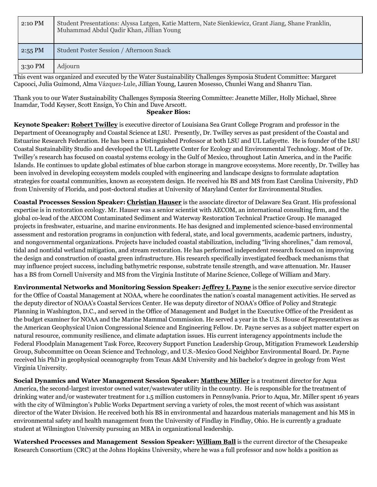| 2:10 PM   | Student Presentations: Alyssa Lutgen, Katie Mattern, Nate Sienkiewicz, Grant Jiang, Shane Franklin,<br>Muhammad Abdul Qadir Khan, Jillian Young |
|-----------|-------------------------------------------------------------------------------------------------------------------------------------------------|
| $2:55$ PM | Student Poster Session / Afternoon Snack                                                                                                        |
| $3:30$ PM | Adjourn                                                                                                                                         |

This event was organized and executed by the Water Sustainability Challenges Symposia Student Committee: Margaret Capooci, Julia Guimond, Alma Vázquez-Lule, Jillian Young, Lauren Mosesso, Chunlei Wang and Shanru Tian.

Thank you to our Water Sustainability Challenges Symposia Steering Committee: Jeanette Miller, Holly Michael, Shree Inamdar, Todd Keyser, Scott Ensign, Yo Chin and Dave Arscott.

## **Speaker Bios:**

**Keynote Speaker: Robert Twilley** is executive director of Louisiana Sea Grant College Program and professor in the Department of Oceanography and Coastal Science at LSU. Presently, Dr. Twilley serves as past president of the Coastal and Estuarine Research Federation. He has been a Distinguished Professor at both LSU and UL Lafayette. He is founder of the LSU Coastal Sustainability Studio and developed the UL Lafayette Center for Ecology and Environmental Technology. Most of Dr. Twilley's research has focused on coastal systems ecology in the Gulf of Mexico, throughout Latin America, and in the Pacific Islands. He continues to update global estimates of blue carbon storage in mangrove ecosystems. More recently, Dr. Twilley has been involved in developing ecosystem models coupled with engineering and landscape designs to formulate adaptation strategies for coastal communities, known as ecosystem design. He received his BS and MS from East Carolina University, PhD from University of Florida, and post-doctoral studies at University of Maryland Center for Environmental Studies.

**Coastal Processes Session Speaker: Christian Hauser** is the associate director of Delaware Sea Grant. His professional expertise is in restoration ecology. Mr. Hauser was a senior scientist with AECOM, an international consulting firm, and the global co-lead of the AECOM Contaminated Sediment and Waterway Restoration Technical Practice Group. He managed projects in freshwater, estuarine, and marine environments. He has designed and implemented science-based environmental assessment and restoration programs in conjunction with federal, state, and local governments, academic partners, industry, and nongovernmental organizations. Projects have included coastal stabilization, including "living shorelines," dam removal, tidal and nontidal wetland mitigation, and stream restoration. He has performed independent research focused on improving the design and construction of coastal green infrastructure. His research specifically investigated feedback mechanisms that may influence project success, including bathymetric response, substrate tensile strength, and wave attenuation. Mr. Hauser has a BS from Cornell University and MS from the Virginia Institute of Marine Science, College of William and Mary.

**Environmental Networks and Monitoring Session Speaker: Jeffrey L Payne** is the senior executive service director for the Office of Coastal Management at NOAA, where he coordinates the nation's coastal management activities. He served as the deputy director of NOAA's Coastal Services Center. He was deputy director of NOAA's Office of Policy and Strategic Planning in Washington, D.C., and served in the Office of Management and Budget in the Executive Office of the President as the budget examiner for NOAA and the Marine Mammal Commission. He served a year in the U.S. House of Representatives as the American Geophysical Union Congressional Science and Engineering Fellow. Dr. Payne serves as a subject matter expert on natural resource, community resilience, and climate adaptation issues. His current interagency appointments include the Federal Floodplain Management Task Force, Recovery Support Function Leadership Group, Mitigation Framework Leadership Group, Subcommittee on Ocean Science and Technology, and U.S.-Mexico Good Neighbor Environmental Board. Dr. Payne received his PhD in geophysical oceanography from Texas A&M University and his bachelor's degree in geology from West Virginia University.

**Social Dynamics and Water Management Session Speaker: Matthew Miller** is a treatment director for Aqua America, the second-largest investor owned water/wastewater utility in the country. He is responsible for the treatment of drinking water and/or wastewater treatment for 1.5 million customers in Pennsylvania. Prior to Aqua, Mr. Miller spent 16 years with the city of Wilmington's Public Works Department serving a variety of roles, the most recent of which was assistant director of the Water Division. He received both his BS in environmental and hazardous materials management and his MS in environmental safety and health management from the University of Findlay in Findlay, Ohio. He is currently a graduate student at Wilmington University pursuing an MBA in organizational leadership.

**Watershed Processes and Management Session Speaker: William Ball** is the current director of the Chesapeake Research Consortium (CRC) at the Johns Hopkins University, where he was a full professor and now holds a position as